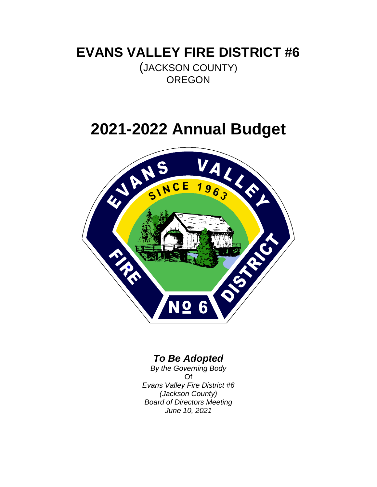## **EVANS VALLEY FIRE DISTRICT #6**

(JACKSON COUNTY) **OREGON** 

# **2021-2022 Annual Budget**



## *To Be Adopted*

*By the Governing Body* Of *Evans Valley Fire District #6 (Jackson County) Board of Directors Meeting June 10, 2021*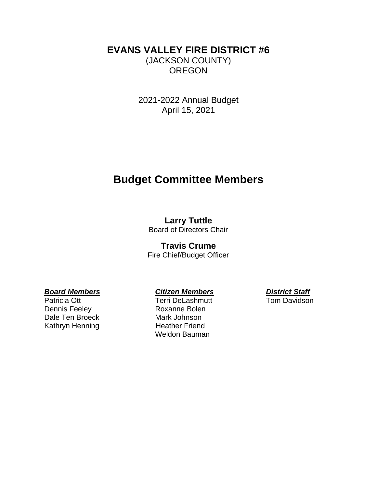#### **EVANS VALLEY FIRE DISTRICT #6** (JACKSON COUNTY) **OREGON**

2021-2022 Annual Budget April 15, 2021

## **Budget Committee Members**

### **Larry Tuttle**

Board of Directors Chair

#### **Travis Crume**

Fire Chief/Budget Officer

#### *Board Members Citizen Members District Staff*

Dennis Feeley **Roxanne Bolen** Dale Ten Broeck Mark Johnson Kathryn Henning Heather Friend

Patricia Ott **Terri DeLashmutt** Tom Davidson Weldon Bauman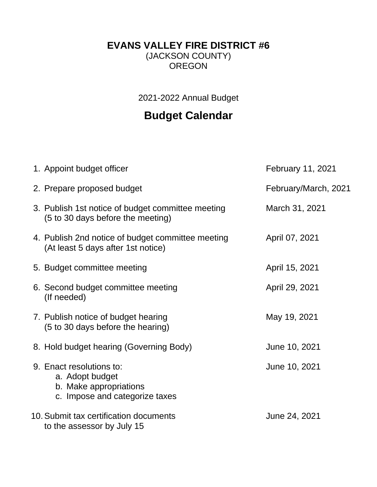## **EVANS VALLEY FIRE DISTRICT #6**

(JACKSON COUNTY) OREGON

2021-2022 Annual Budget

## **Budget Calendar**

| 1. Appoint budget officer                                                                               | February 11, 2021    |
|---------------------------------------------------------------------------------------------------------|----------------------|
| 2. Prepare proposed budget                                                                              | February/March, 2021 |
| 3. Publish 1st notice of budget committee meeting<br>(5 to 30 days before the meeting)                  | March 31, 2021       |
| 4. Publish 2nd notice of budget committee meeting<br>(At least 5 days after 1st notice)                 | April 07, 2021       |
| 5. Budget committee meeting                                                                             | April 15, 2021       |
| 6. Second budget committee meeting<br>(If needed)                                                       | April 29, 2021       |
| 7. Publish notice of budget hearing<br>(5 to 30 days before the hearing)                                | May 19, 2021         |
| 8. Hold budget hearing (Governing Body)                                                                 | June 10, 2021        |
| 9. Enact resolutions to:<br>a. Adopt budget<br>b. Make appropriations<br>c. Impose and categorize taxes | June 10, 2021        |
| 10. Submit tax certification documents<br>to the assessor by July 15                                    | June 24, 2021        |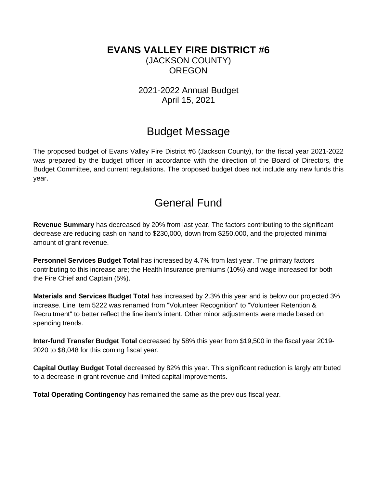#### **EVANS VALLEY FIRE DISTRICT #6** (JACKSON COUNTY) **OREGON**

2021-2022 Annual Budget April 15, 2021

## Budget Message

The proposed budget of Evans Valley Fire District #6 (Jackson County), for the fiscal year 2021-2022 was prepared by the budget officer in accordance with the direction of the Board of Directors, the Budget Committee, and current regulations. The proposed budget does not include any new funds this year.

## General Fund

**Revenue Summary** has decreased by 20% from last year. The factors contributing to the significant decrease are reducing cash on hand to \$230,000, down from \$250,000, and the projected minimal amount of grant revenue.

**Personnel Services Budget Total** has increased by 4.7% from last year. The primary factors contributing to this increase are; the Health Insurance premiums (10%) and wage increased for both the Fire Chief and Captain (5%).

**Materials and Services Budget Total** has increased by 2.3% this year and is below our projected 3% increase. Line item 5222 was renamed from "Volunteer Recognition" to "Volunteer Retention & Recruitment" to better reflect the line item's intent. Other minor adjustments were made based on spending trends.

**Inter-fund Transfer Budget Total** decreased by 58% this year from \$19,500 in the fiscal year 2019- 2020 to \$8,048 for this coming fiscal year.

**Capital Outlay Budget Total** decreased by 82% this year. This significant reduction is largly attributed to a decrease in grant revenue and limited capital improvements.

**Total Operating Contingency** has remained the same as the previous fiscal year.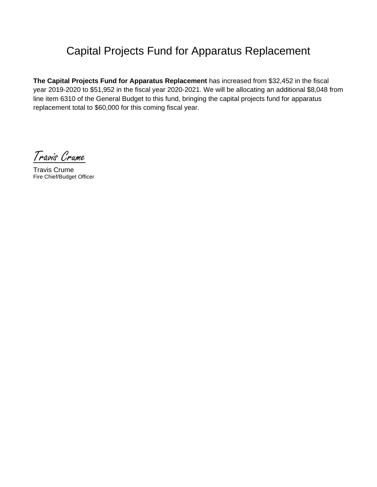## Capital Projects Fund for Apparatus Replacement

**The Capital Projects Fund for Apparatus Replacement** has increased from \$32,452 in the fiscal year 2019-2020 to \$51,952 in the fiscal year 2020-2021. We will be allocating an additional \$8,048 from line item 6310 of the General Budget to this fund, bringing the capital projects fund for apparatus replacement total to \$60,000 for this coming fiscal year.

Travis Crume

Travis Crume Fire Chief/Budget Officer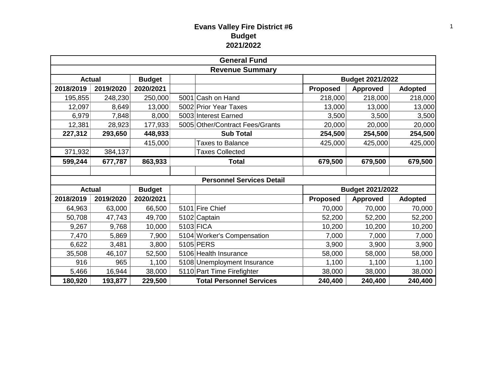#### **Evans Valley Fire District #6 Budget 2021/2022**

| <b>General Fund</b>    |               |               |  |                                  |                         |                 |                |  |
|------------------------|---------------|---------------|--|----------------------------------|-------------------------|-----------------|----------------|--|
| <b>Revenue Summary</b> |               |               |  |                                  |                         |                 |                |  |
| <b>Actual</b>          |               | <b>Budget</b> |  |                                  | <b>Budget 2021/2022</b> |                 |                |  |
| 2018/2019              | 2019/2020     | 2020/2021     |  |                                  | <b>Proposed</b>         | <b>Approved</b> | <b>Adopted</b> |  |
| 195,855                | 248,230       | 250,000       |  | 5001 Cash on Hand                | 218,000                 | 218,000         | 218,000        |  |
| 12,097                 | 8,649         | 13,000        |  | 5002 Prior Year Taxes            | 13,000                  | 13,000          | 13,000         |  |
| 6,979                  | 7,848         | 8,000         |  | 5003 Interest Earned             | 3,500                   | 3,500           | 3,500          |  |
| 12,381                 | 28,923        | 177,933       |  | 5005 Other/Contract Fees/Grants  | 20,000                  | 20,000          | 20,000         |  |
| 227,312                | 293,650       | 448,933       |  | <b>Sub Total</b>                 | 254,500                 | 254,500         | 254,500        |  |
|                        |               | 415,000       |  | <b>Taxes to Balance</b>          | 425,000                 | 425,000         | 425,000        |  |
| 371,932                | 384,137       |               |  | <b>Taxes Collected</b>           |                         |                 |                |  |
| 599,244                | 677,787       | 863,933       |  | <b>Total</b>                     | 679,500                 | 679,500         | 679,500        |  |
|                        |               |               |  |                                  |                         |                 |                |  |
|                        |               |               |  | <b>Personnel Services Detail</b> |                         |                 |                |  |
| <b>Actual</b>          | <b>Budget</b> |               |  |                                  | <b>Budget 2021/2022</b> |                 |                |  |
| 2018/2019              | 2019/2020     | 2020/2021     |  |                                  | <b>Proposed</b>         | <b>Approved</b> | <b>Adopted</b> |  |
| 64,963                 | 63,000        | 66,500        |  | 5101 Fire Chief                  | 70,000                  | 70,000          | 70,000         |  |
| 50,708                 | 47,743        | 49,700        |  | 5102 Captain                     | 52,200                  | 52,200          | 52,200         |  |
| 9,267                  | 9,768         | 10,000        |  | 5103 FICA                        | 10,200                  | 10,200          | 10,200         |  |
| 7,470                  | 5,869         | 7,900         |  | 5104 Worker's Compensation       | 7,000                   | 7,000           | 7,000          |  |
| 6,622                  | 3,481         | 3,800         |  | 5105 PERS                        | 3,900                   | 3,900           | 3,900          |  |
| 35,508                 | 46,107        | 52,500        |  | 5106 Health Insurance            | 58,000                  | 58,000          | 58,000         |  |
| 916                    | 965           | 1,100         |  | 5108 Unemployment Insurance      | 1,100                   | 1,100           | 1,100          |  |
| 5,466                  | 16,944        | 38,000        |  | 5110 Part Time Firefighter       | 38,000                  | 38,000          | 38,000         |  |
| 180,920                | 193,877       | 229,500       |  | <b>Total Personnel Services</b>  | 240,400                 | 240,400         | 240,400        |  |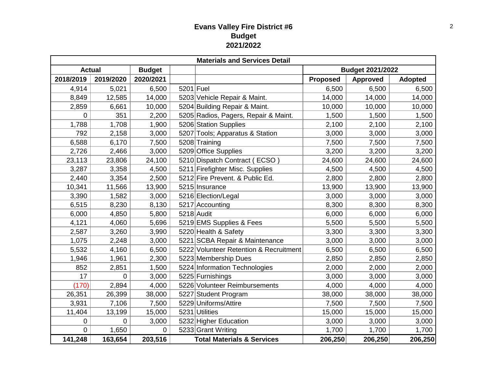#### **Evans Valley Fire District #6 Budget 2021/2022**

| <b>Materials and Services Detail</b> |                |               |           |                                        |                 |                         |                |  |
|--------------------------------------|----------------|---------------|-----------|----------------------------------------|-----------------|-------------------------|----------------|--|
| <b>Actual</b>                        |                | <b>Budget</b> |           |                                        |                 | <b>Budget 2021/2022</b> |                |  |
| 2018/2019                            | 2019/2020      | 2020/2021     |           |                                        | <b>Proposed</b> | <b>Approved</b>         | <b>Adopted</b> |  |
| 4,914                                | 5,021          | 6,500         | 5201 Fuel |                                        | 6,500           | 6,500                   | 6,500          |  |
| 8,849                                | 12,585         | 14,000        |           | 5203 Vehicle Repair & Maint.           | 14,000          | 14,000                  | 14,000         |  |
| 2,859                                | 6,661          | 10,000        |           | 5204 Building Repair & Maint.          | 10,000          | 10,000                  | 10,000         |  |
| 0                                    | 351            | 2,200         |           | 5205 Radios, Pagers, Repair & Maint.   | 1,500           | 1,500                   | 1,500          |  |
| 1,788                                | 1,708          | 1,900         |           | 5206 Station Supplies                  | 2,100           | 2,100                   | 2,100          |  |
| 792                                  | 2,158          | 3,000         |           | 5207 Tools; Apparatus & Station        | 3,000           | 3,000                   | 3,000          |  |
| 6,588                                | 6,170          | 7,500         |           | 5208 Training                          | 7,500           | 7,500                   | 7,500          |  |
| 2,726                                | 2,466          | 3,000         |           | 5209 Office Supplies                   | 3,200           | 3,200                   | 3,200          |  |
| 23,113                               | 23,806         | 24,100        |           | 5210 Dispatch Contract (ECSO)          | 24,600          | 24,600                  | 24,600         |  |
| 3,287                                | 3,358          | 4,500         |           | 5211 Firefighter Misc. Supplies        | 4,500           | 4,500                   | 4,500          |  |
| 2,440                                | 3,354          | 2,500         |           | 5212 Fire Prevent. & Public Ed.        | 2,800           | 2,800                   | 2,800          |  |
| 10,341                               | 11,566         | 13,900        |           | 5215 Insurance                         | 13,900          | 13,900                  | 13,900         |  |
| 3,390                                | 1,582          | 3,000         |           | 5216 Election/Legal                    | 3,000           | 3,000                   | 3,000          |  |
| 6,515                                | 8,230          | 8,130         |           | 5217 Accounting                        | 8,300           | 8,300                   | 8,300          |  |
| 6,000                                | 4,850          | 5,800         |           | 5218 Audit                             | 6,000           | 6,000                   | 6,000          |  |
| 4,121                                | 4,060          | 5,696         |           | 5219 EMS Supplies & Fees               | 5,500           | 5,500                   | 5,500          |  |
| 2,587                                | 3,260          | 3,990         |           | 5220 Health & Safety                   | 3,300           | 3,300                   | 3,300          |  |
| 1,075                                | 2,248          | 3,000         |           | 5221 SCBA Repair & Maintenance         | 3,000           | 3,000                   | 3,000          |  |
| 5,532                                | 4,160          | 6,500         |           | 5222 Volunteer Retention & Recruitment | 6,500           | 6,500                   | 6,500          |  |
| 1,946                                | 1,961          | 2,300         |           | 5223 Membership Dues                   | 2,850           | 2,850                   | 2,850          |  |
| 852                                  | 2,851          | 1,500         |           | 5224 Information Technologies          | 2,000           | 2,000                   | 2,000          |  |
| 17                                   | $\overline{0}$ | 3,000         |           | 5225 Furnishings                       | 3,000           | 3,000                   | 3,000          |  |
| (170)                                | 2,894          | 4,000         |           | 5226 Volunteer Reimbursements          | 4,000           | 4,000                   | 4,000          |  |
| 26,351                               | 26,399         | 38,000        |           | 5227 Student Program                   | 38,000          | 38,000                  | 38,000         |  |
| 3,931                                | 7,106          | 7,500         |           | 5229 Uniforms/Attire                   | 7,500           | 7,500                   | 7,500          |  |
| 11,404                               | 13,199         | 15,000        |           | 5231 Utilities                         | 15,000          | 15,000                  | 15,000         |  |
| 0                                    | $\overline{0}$ | 3,000         |           | 5232 Higher Education                  | 3,000           | 3,000                   | 3,000          |  |
| $\mathbf 0$                          | 1,650          | 0             |           | 5233 Grant Writing                     | 1,700           | 1,700                   | 1,700          |  |
| 141,248                              | 163,654        | 203,516       |           | <b>Total Materials &amp; Services</b>  | 206,250         | 206,250                 | 206,250        |  |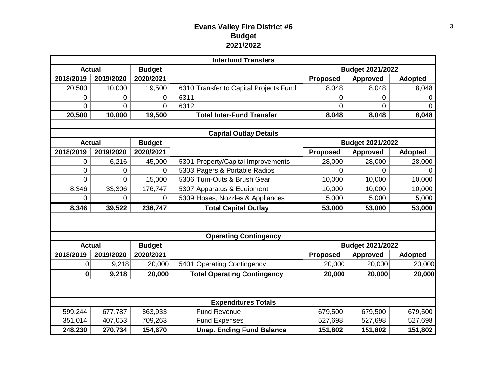#### **Evans Valley Fire District #6 Budget 2021/2022**

| <b>Interfund Transfers</b>                    |                |                            |                                        |                         |                                            |                |  |  |  |
|-----------------------------------------------|----------------|----------------------------|----------------------------------------|-------------------------|--------------------------------------------|----------------|--|--|--|
| <b>Actual</b>                                 |                | <b>Budget</b>              |                                        | <b>Budget 2021/2022</b> |                                            |                |  |  |  |
| 2018/2019                                     | 2019/2020      | 2020/2021                  |                                        | <b>Proposed</b>         | <b>Approved</b>                            | <b>Adopted</b> |  |  |  |
| 20,500                                        | 10,000         | 19,500                     | 6310 Transfer to Capital Projects Fund | 8,048                   | 8,048                                      | 8,048          |  |  |  |
| 0                                             | 0              | 0                          | 6311                                   | 0                       | 0                                          | 0              |  |  |  |
| $\overline{0}$                                | $\overline{0}$ | 0                          | 6312                                   | $\overline{0}$          | $\overline{0}$                             | $\overline{0}$ |  |  |  |
| 20,500                                        | 10,000         | 19,500                     | <b>Total Inter-Fund Transfer</b>       | 8,048                   | 8,048                                      | 8,048          |  |  |  |
|                                               |                |                            |                                        |                         |                                            |                |  |  |  |
| <b>Capital Outlay Details</b>                 |                |                            |                                        |                         |                                            |                |  |  |  |
| <b>Actual</b>                                 |                | <b>Budget</b>              |                                        |                         | <b>Budget 2021/2022</b>                    |                |  |  |  |
| 2018/2019                                     | 2019/2020      | 2020/2021                  |                                        | <b>Proposed</b>         | <b>Approved</b>                            | <b>Adopted</b> |  |  |  |
| $\mathbf 0$                                   | 6,216          | 45,000                     | 5301 Property/Capital Improvements     | 28,000                  | 28,000                                     | 28,000         |  |  |  |
| $\mathbf 0$                                   | 0              | 0                          | 5303 Pagers & Portable Radios          | $\overline{0}$          | $\Omega$                                   | 0              |  |  |  |
| $\Omega$                                      | 0              | 15,000                     | 5306 Turn-Outs & Brush Gear            | 10,000                  | 10,000                                     | 10,000         |  |  |  |
| 8,346                                         | 33,306         | 176,747                    | 5307 Apparatus & Equipment             | 10,000                  | 10,000                                     | 10,000         |  |  |  |
| $\Omega$                                      | $\overline{0}$ | 0                          | 5309 Hoses, Nozzles & Appliances       | 5,000                   | 5,000                                      | 5,000          |  |  |  |
| 8,346                                         | 39,522         | 236,747                    | <b>Total Capital Outlay</b>            | 53,000                  | 53,000                                     | 53,000         |  |  |  |
|                                               |                |                            |                                        |                         |                                            |                |  |  |  |
|                                               |                |                            |                                        |                         |                                            |                |  |  |  |
| <b>Operating Contingency</b><br><b>Actual</b> |                |                            |                                        |                         |                                            |                |  |  |  |
| 2018/2019                                     | 2019/2020      | <b>Budget</b><br>2020/2021 |                                        | Proposed                | <b>Budget 2021/2022</b><br><b>Approved</b> | <b>Adopted</b> |  |  |  |
|                                               | 9,218          |                            | 5401 Operating Contingency             | 20,000                  | 20,000                                     | 20,000         |  |  |  |
| 0                                             |                | 20,000                     |                                        |                         |                                            |                |  |  |  |
| 0                                             | 9,218          | 20,000                     | <b>Total Operating Contingency</b>     | 20,000                  | 20,000                                     | 20,000         |  |  |  |
|                                               |                |                            |                                        |                         |                                            |                |  |  |  |
| <b>Expenditures Totals</b>                    |                |                            |                                        |                         |                                            |                |  |  |  |
| 599,244                                       | 677,787        | 863,933                    | <b>Fund Revenue</b>                    | 679,500                 | 679,500                                    | 679,500        |  |  |  |
| 351,014                                       | 407,053        | 709,263                    | <b>Fund Expenses</b>                   | 527,698                 | 527,698                                    | 527,698        |  |  |  |
| 248,230                                       | 270,734        | 154,670                    | <b>Unap. Ending Fund Balance</b>       | 151,802                 | 151,802                                    | 151,802        |  |  |  |